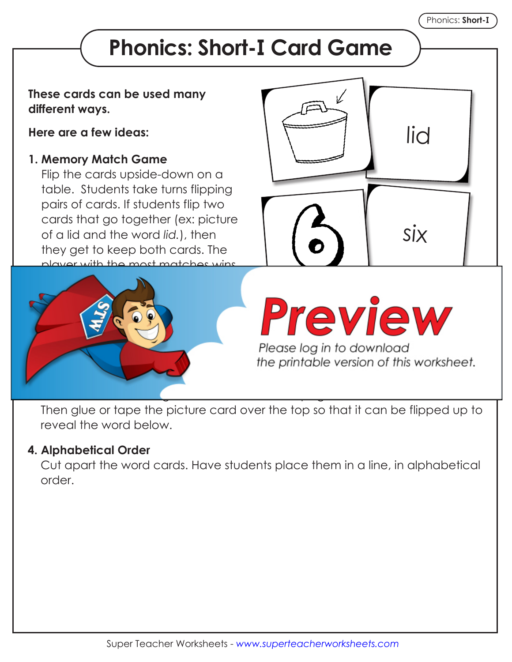## **Phonics: Short-I Card Game**

## **These cards can be used many different ways.**

**Here are a few ideas:**

## **1. Memory Match Game**

Flip the cards upside-down on a table. Students take turns flipping pairs of cards. If students flip two cards that go together (ex: picture of a lid and the word *lid.*), then they get to keep both cards. The player with the most matches wins.





the printable version of this worksheet.

Then glue or tape the picture card over the top so that it can be flipped up to reveal the word below.

## **4. Alphabetical Order**

 Cut apart the word cards. Have students place them in a line, in alphabetical order.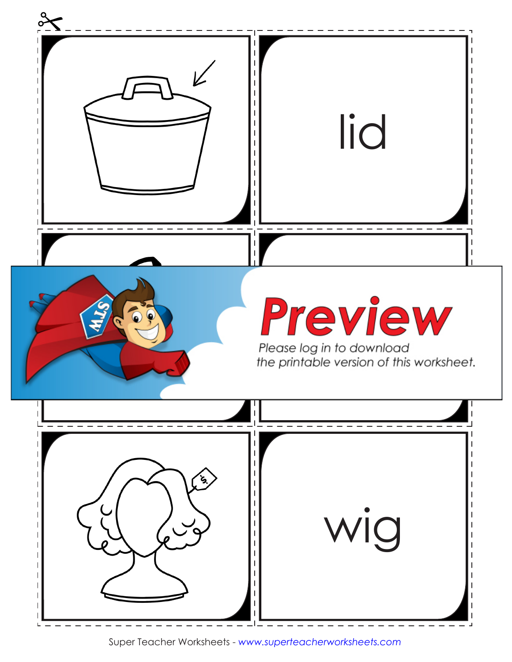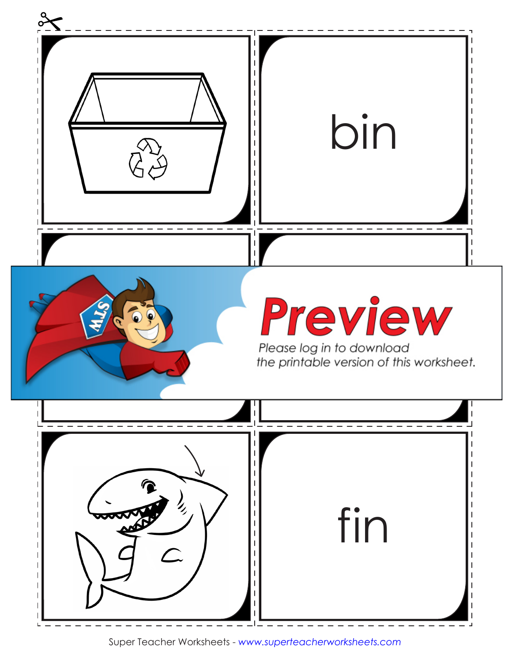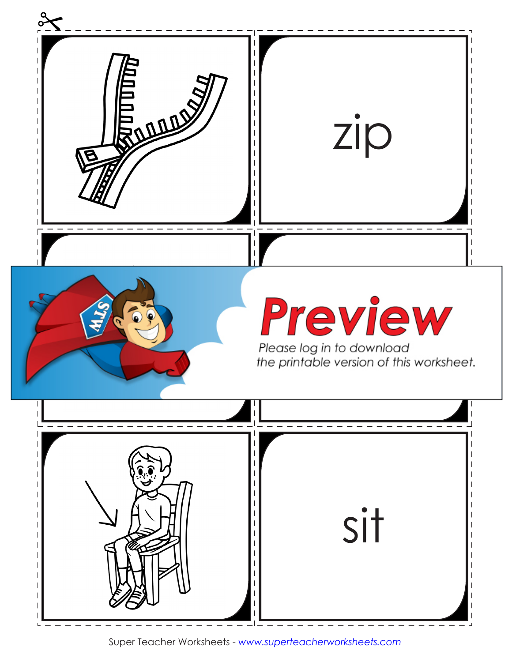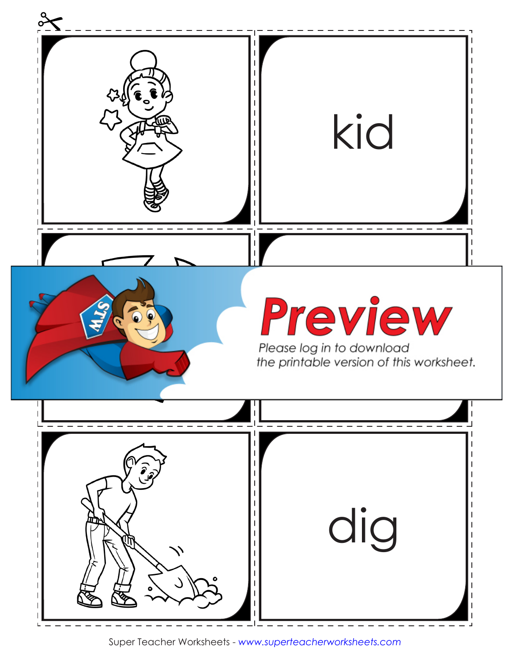